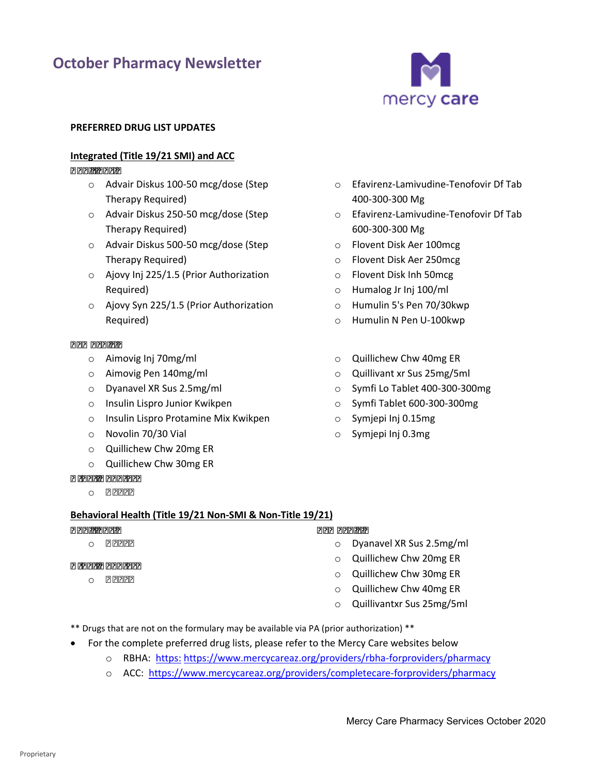# **October Pharmacy Newsletter**



#### **PREFERRED DRUG LIST UPDATES**

# **Integrated (Title 19/21 SMI) and ACC**

#### *Additions:*

- o Advair Diskus 100-50 mcg/dose (Step Therapy Required)
- o Advair Diskus 250-50 mcg/dose (Step Therapy Required)
- o Advair Diskus 500-50 mcg/dose (Step Therapy Required)
- o Ajovy Inj 225/1.5 (Prior Authorization Required)
- o Ajovy Syn 225/1.5 (Prior Authorization Required)

#### *Removals:*

- o Aimovig Inj 70mg/ml
- o Aimovig Pen 140mg/ml
- o Dyanavel XR Sus 2.5mg/ml
- o Insulin Lispro Junior Kwikpen
- o Insulin Lispro Protamine Mix Kwikpen
- o Novolin 70/30 Vial
- o Quillichew Chw 20mg ER
- o Quillichew Chw 30mg ER

# *Other Updates*

o *None* 

# **Behavioral Health (Title 19/21 Non-SMI & Non-Title 19/21)**

#### *Additions:*  o *None Removals:*

# *Other Updates*

o *None* 

- 400-300-300 Mg o Efavirenz-Lamivudine-Tenofovir Df Tab
- o Efavirenz-Lamivudine-Tenofovir Df Tab 600-300-300 Mg
- o Flovent Disk Aer 100mcg
- o Flovent Disk Aer 250mcg
- o Flovent Disk Inh 50mcg
- o Humalog Jr Inj 100/ml
- o Humulin 5's Pen 70/30kwp
- o Humulin N Pen U-100kwp
- $\circ$  Quillichew Chw 40mg ER
- o Quillivant xr Sus 25mg/5ml
- o Symfi Lo Tablet 400-300-300mg
- o Symfi Tablet 600-300-300mg
- o Symjepi Inj 0.15mg
- o Symjepi Inj 0.3mg

- o Dyanavel XR Sus 2.5mg/ml
	- o Quillichew Chw 20mg ER
	- o Quillichew Chw 30mg ER
	- o Quillichew Chw 40mg ER
	- o Quillivantxr Sus 25mg/5ml
- \*\* Drugs that are not on the formulary may be available via PA (prior authorization) \*\*
- For the complete preferred drug lists, please refer to the Mercy Care websites below
	- o RBHA: https:<https://www.mercycareaz.org/providers/rbha-forproviders/pharmacy>
	- o ACC: https://www.mercycareaz.org/providers/completecare-forproviders/pharmacy